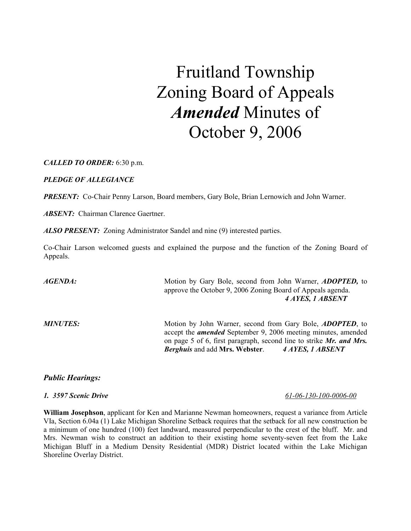# Fruitland Township Zoning Board of Appeals Amended Minutes of October 9, 2006

CALLED TO ORDER: 6:30 p.m.

PLEDGE OF ALLEGIANCE

**PRESENT:** Co-Chair Penny Larson, Board members, Gary Bole, Brian Lernowich and John Warner.

**ABSENT:** Chairman Clarence Gaertner.

ALSO PRESENT: Zoning Administrator Sandel and nine (9) interested parties.

Co-Chair Larson welcomed guests and explained the purpose and the function of the Zoning Board of Appeals.

AGENDA: Motion by Gary Bole, second from John Warner, ADOPTED, to approve the October 9, 2006 Zoning Board of Appeals agenda. 4 AYES, 1 ABSENT

MINUTES: Motion by John Warner, second from Gary Bole, *ADOPTED*, to accept the amended September 9, 2006 meeting minutes, amended on page 5 of 6, first paragraph, second line to strike  $Mr$ . and Mrs. Berghuis and add Mrs. Webster. 4 AYES, 1 ABSENT

### Public Hearings:

William Josephson, applicant for Ken and Marianne Newman homeowners, request a variance from Article VIa, Section 6.04a (1) Lake Michigan Shoreline Setback requires that the setback for all new construction be a minimum of one hundred (100) feet landward, measured perpendicular to the crest of the bluff. Mr. and Mrs. Newman wish to construct an addition to their existing home seventy-seven feet from the Lake Michigan Bluff in a Medium Density Residential (MDR) District located within the Lake Michigan Shoreline Overlay District.

#### 1. 3597 Scenic Drive 61-06-130-100-0006-00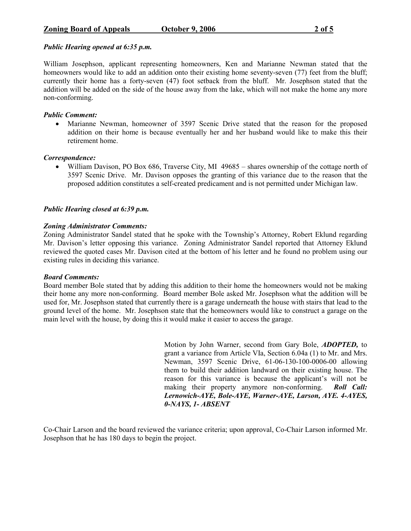### Public Hearing opened at 6:35 p.m.

William Josephson, applicant representing homeowners, Ken and Marianne Newman stated that the homeowners would like to add an addition onto their existing home seventy-seven (77) feet from the bluff; currently their home has a forty-seven (47) foot setback from the bluff. Mr. Josephson stated that the addition will be added on the side of the house away from the lake, which will not make the home any more non-conforming.

### Public Comment:

• Marianne Newman, homeowner of 3597 Scenic Drive stated that the reason for the proposed addition on their home is because eventually her and her husband would like to make this their retirement home.

### Correspondence:

• William Davison, PO Box 686, Traverse City, MI 49685 – shares ownership of the cottage north of 3597 Scenic Drive. Mr. Davison opposes the granting of this variance due to the reason that the proposed addition constitutes a self-created predicament and is not permitted under Michigan law.

# Public Hearing closed at 6:39 p.m.

### Zoning Administrator Comments:

Zoning Administrator Sandel stated that he spoke with the Township's Attorney, Robert Eklund regarding Mr. Davison's letter opposing this variance. Zoning Administrator Sandel reported that Attorney Eklund reviewed the quoted cases Mr. Davison cited at the bottom of his letter and he found no problem using our existing rules in deciding this variance.

### Board Comments:

Board member Bole stated that by adding this addition to their home the homeowners would not be making their home any more non-conforming. Board member Bole asked Mr. Josephson what the addition will be used for, Mr. Josephson stated that currently there is a garage underneath the house with stairs that lead to the ground level of the home. Mr. Josephson state that the homeowners would like to construct a garage on the main level with the house, by doing this it would make it easier to access the garage.

> Motion by John Warner, second from Gary Bole, ADOPTED, to grant a variance from Article VIa, Section 6.04a (1) to Mr. and Mrs. Newman, 3597 Scenic Drive, 61-06-130-100-0006-00 allowing them to build their addition landward on their existing house. The reason for this variance is because the applicant's will not be making their property anymore non-conforming. Roll Call: Lernowich-AYE, Bole-AYE, Warner-AYE, Larson, AYE. 4-AYES, 0-NAYS, 1- ABSENT

Co-Chair Larson and the board reviewed the variance criteria; upon approval, Co-Chair Larson informed Mr. Josephson that he has 180 days to begin the project.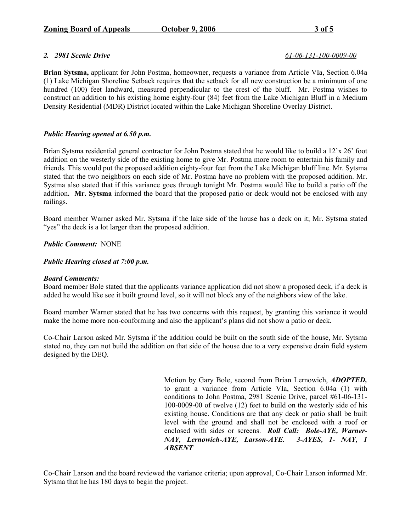### 2. 2981 Scenic Drive 61-06-131-100-0009-00

Brian Sytsma, applicant for John Postma, homeowner, requests a variance from Article VIa, Section 6.04a (1) Lake Michigan Shoreline Setback requires that the setback for all new construction be a minimum of one hundred (100) feet landward, measured perpendicular to the crest of the bluff. Mr. Postma wishes to construct an addition to his existing home eighty-four (84) feet from the Lake Michigan Bluff in a Medium Density Residential (MDR) District located within the Lake Michigan Shoreline Overlay District.

# Public Hearing opened at 6.50 p.m.

Brian Sytsma residential general contractor for John Postma stated that he would like to build a 12'x 26' foot addition on the westerly side of the existing home to give Mr. Postma more room to entertain his family and friends. This would put the proposed addition eighty-four feet from the Lake Michigan bluff line. Mr. Sytsma stated that the two neighbors on each side of Mr. Postma have no problem with the proposed addition. Mr. Systma also stated that if this variance goes through tonight Mr. Postma would like to build a patio off the addition. Mr. Sytsma informed the board that the proposed patio or deck would not be enclosed with any railings.

Board member Warner asked Mr. Sytsma if the lake side of the house has a deck on it; Mr. Sytsma stated "yes" the deck is a lot larger than the proposed addition.

# Public Comment: NONE

# Public Hearing closed at 7:00 p.m.

### Board Comments:

Board member Bole stated that the applicants variance application did not show a proposed deck, if a deck is added he would like see it built ground level, so it will not block any of the neighbors view of the lake.

Board member Warner stated that he has two concerns with this request, by granting this variance it would make the home more non-conforming and also the applicant's plans did not show a patio or deck.

Co-Chair Larson asked Mr. Sytsma if the addition could be built on the south side of the house, Mr. Sytsma stated no, they can not build the addition on that side of the house due to a very expensive drain field system designed by the DEQ.

> Motion by Gary Bole, second from Brian Lernowich, ADOPTED, to grant a variance from Article VIa, Section 6.04a (1) with conditions to John Postma, 2981 Scenic Drive, parcel #61-06-131- 100-0009-00 of twelve (12) feet to build on the westerly side of his existing house. Conditions are that any deck or patio shall be built level with the ground and shall not be enclosed with a roof or enclosed with sides or screens. Roll Call: Bole-AYE, Warner-NAY, Lernowich-AYE, Larson-AYE. 3-AYES, 1- NAY, 1 ABSENT

Co-Chair Larson and the board reviewed the variance criteria; upon approval, Co-Chair Larson informed Mr. Sytsma that he has 180 days to begin the project.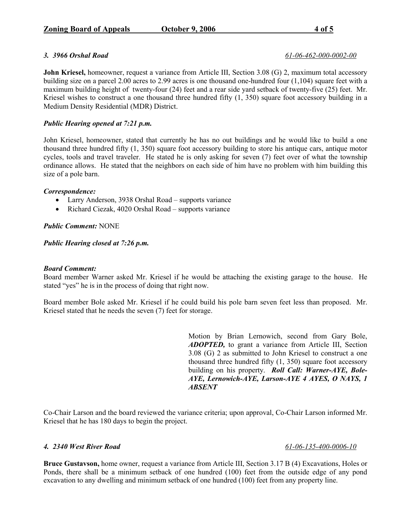#### 3. 3966 Orshal Road 61-06-462-000-0002-00

John Kriesel, homeowner, request a variance from Article III, Section 3.08 (G) 2, maximum total accessory building size on a parcel 2.00 acres to 2.99 acres is one thousand one-hundred four (1,104) square feet with a maximum building height of twenty-four (24) feet and a rear side yard setback of twenty-five (25) feet. Mr. Kriesel wishes to construct a one thousand three hundred fifty  $(1, 350)$  square foot accessory building in a Medium Density Residential (MDR) District.

# Public Hearing opened at 7:21 p.m.

John Kriesel, homeowner, stated that currently he has no out buildings and he would like to build a one thousand three hundred fifty (1, 350) square foot accessory building to store his antique cars, antique motor cycles, tools and travel traveler. He stated he is only asking for seven (7) feet over of what the township ordinance allows. He stated that the neighbors on each side of him have no problem with him building this size of a pole barn.

### Correspondence:

- Larry Anderson, 3938 Orshal Road supports variance
- Richard Ciezak, 4020 Orshal Road supports variance

### Public Comment: NONE

Public Hearing closed at 7:26 p.m.

#### Board Comment:

Board member Warner asked Mr. Kriesel if he would be attaching the existing garage to the house. He stated "yes" he is in the process of doing that right now.

Board member Bole asked Mr. Kriesel if he could build his pole barn seven feet less than proposed. Mr. Kriesel stated that he needs the seven (7) feet for storage.

> Motion by Brian Lernowich, second from Gary Bole, ADOPTED, to grant a variance from Article III, Section 3.08 (G) 2 as submitted to John Kriesel to construct a one thousand three hundred fifty (1, 350) square foot accessory building on his property. Roll Call: Warner-AYE, Bole-AYE, Lernowich-AYE, Larson-AYE 4 AYES, O NAYS, 1 ABSENT

Co-Chair Larson and the board reviewed the variance criteria; upon approval, Co-Chair Larson informed Mr. Kriesel that he has 180 days to begin the project.

### 4. 2340 West River Road 61-06-135-400-0006-10

Bruce Gustavson, home owner, request a variance from Article III, Section 3.17 B (4) Excavations, Holes or Ponds, there shall be a minimum setback of one hundred (100) feet from the outside edge of any pond excavation to any dwelling and minimum setback of one hundred (100) feet from any property line.